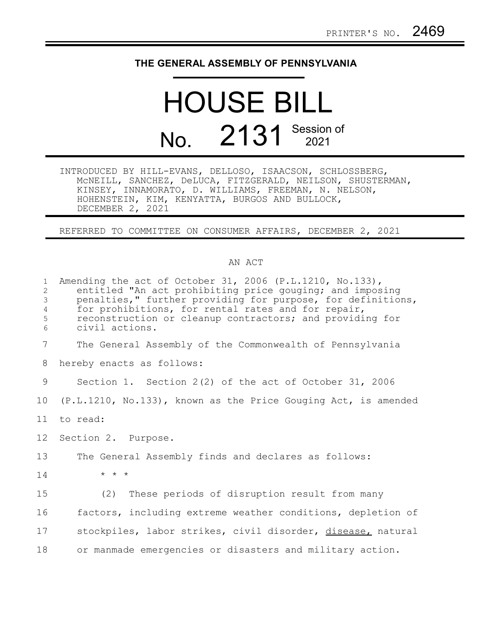## **THE GENERAL ASSEMBLY OF PENNSYLVANIA**

## HOUSE BILL No. 2131 Session of

INTRODUCED BY HILL-EVANS, DELLOSO, ISAACSON, SCHLOSSBERG, McNEILL, SANCHEZ, DeLUCA, FITZGERALD, NEILSON, SHUSTERMAN, KINSEY, INNAMORATO, D. WILLIAMS, FREEMAN, N. NELSON, HOHENSTEIN, KIM, KENYATTA, BURGOS AND BULLOCK, DECEMBER 2, 2021

REFERRED TO COMMITTEE ON CONSUMER AFFAIRS, DECEMBER 2, 2021

## AN ACT

| $\mathbf{1}$<br>$\overline{2}$<br>$\mathfrak{Z}$<br>$\overline{4}$<br>5<br>6 | Amending the act of October 31, 2006 (P.L.1210, No.133),<br>entitled "An act prohibiting price gouging; and imposing<br>penalties," further providing for purpose, for definitions,<br>for prohibitions, for rental rates and for repair,<br>reconstruction or cleanup contractors; and providing for<br>civil actions. |
|------------------------------------------------------------------------------|-------------------------------------------------------------------------------------------------------------------------------------------------------------------------------------------------------------------------------------------------------------------------------------------------------------------------|
| 7                                                                            | The General Assembly of the Commonwealth of Pennsylvania                                                                                                                                                                                                                                                                |
| 8                                                                            | hereby enacts as follows:                                                                                                                                                                                                                                                                                               |
| 9                                                                            | Section 1. Section 2(2) of the act of October 31, 2006                                                                                                                                                                                                                                                                  |
| 10                                                                           | (P.L.1210, No.133), known as the Price Gouging Act, is amended                                                                                                                                                                                                                                                          |
| 11                                                                           | to read:                                                                                                                                                                                                                                                                                                                |
| 12 <sup>°</sup>                                                              | Section 2. Purpose.                                                                                                                                                                                                                                                                                                     |
| 13                                                                           | The General Assembly finds and declares as follows:                                                                                                                                                                                                                                                                     |
| 14                                                                           | $\star$ $\star$ $\star$                                                                                                                                                                                                                                                                                                 |
| 15                                                                           | (2) These periods of disruption result from many                                                                                                                                                                                                                                                                        |
| 16                                                                           | factors, including extreme weather conditions, depletion of                                                                                                                                                                                                                                                             |
| 17                                                                           | stockpiles, labor strikes, civil disorder, disease, natural                                                                                                                                                                                                                                                             |
| 18                                                                           | or manmade emergencies or disasters and military action.                                                                                                                                                                                                                                                                |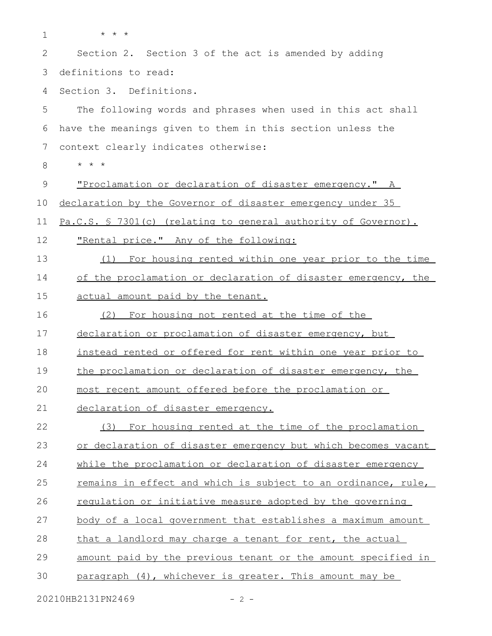| $\mathbf 1$ | $\star$ $\star$ $\star$                                        |
|-------------|----------------------------------------------------------------|
| 2           | Section 2. Section 3 of the act is amended by adding           |
| 3           | definitions to read:                                           |
| 4           | Section 3. Definitions.                                        |
| 5           | The following words and phrases when used in this act shall    |
| 6           | have the meanings given to them in this section unless the     |
| 7           | context clearly indicates otherwise:                           |
| 8           | $\star$ $\star$<br>$\star$                                     |
| 9           | "Proclamation or declaration of disaster emergency." A         |
| 10          | declaration by the Governor of disaster emergency under 35     |
| 11          | Pa.C.S. § 7301(c) (relating to general authority of Governor). |
| 12          | "Rental price." Any of the following:                          |
| 13          | For housing rented within one year prior to the time<br>(1)    |
| 14          | of the proclamation or declaration of disaster emergency, the  |
| 15          | actual amount paid by the tenant.                              |
| 16          | For housing not rented at the time of the<br>(2)               |
| 17          | declaration or proclamation of disaster emergency, but         |
| 18          | instead rented or offered for rent within one year prior to    |
| 19          | the proclamation or declaration of disaster emergency, the     |
| 20          | most recent amount offered before the proclamation or          |
| 21          | declaration of disaster emergency.                             |
| 22          | (3) For housing rented at the time of the proclamation         |
| 23          | or declaration of disaster emergency but which becomes vacant  |
| 24          | while the proclamation or declaration of disaster emergency    |
| 25          | remains in effect and which is subject to an ordinance, rule,  |
| 26          | regulation or initiative measure adopted by the governing      |
| 27          | body of a local government that establishes a maximum amount   |
| 28          | that a landlord may charge a tenant for rent, the actual       |
| 29          | amount paid by the previous tenant or the amount specified in  |
| 30          | paragraph (4), whichever is greater. This amount may be        |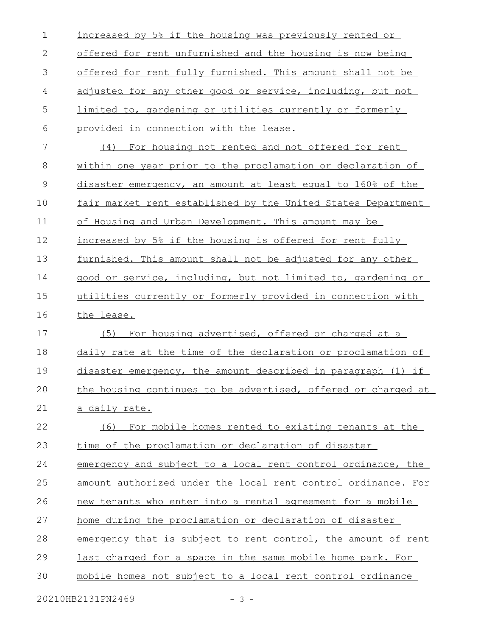| 2<br>offered for rent unfurnished and the housing is now being<br>3<br>4<br>adjusted for any other good or service, including, but not<br>5<br>limited to, gardening or utilities currently or formerly<br>6<br>provided in connection with the lease.<br>7<br>(4) For housing not rented and not offered for rent<br>$\,8\,$<br>$\mathsf 9$<br>10<br>11<br>of Housing and Urban Development. This amount may be<br>12<br>increased by 5% if the housing is offered for rent fully<br>13<br>14<br>15<br>16<br>the lease.<br>17<br>For housing advertised, offered or charged at a<br>(5)<br>18<br>19<br>20<br>21<br>a daily rate.<br>22<br>23<br>time of the proclamation or declaration of disaster<br>24<br>25<br>26<br>27<br>home during the proclamation or declaration of disaster<br>28<br>29<br>last charged for a space in the same mobile home park. For | $\mathbf 1$ | increased by 5% if the housing was previously rented or       |
|-------------------------------------------------------------------------------------------------------------------------------------------------------------------------------------------------------------------------------------------------------------------------------------------------------------------------------------------------------------------------------------------------------------------------------------------------------------------------------------------------------------------------------------------------------------------------------------------------------------------------------------------------------------------------------------------------------------------------------------------------------------------------------------------------------------------------------------------------------------------|-------------|---------------------------------------------------------------|
|                                                                                                                                                                                                                                                                                                                                                                                                                                                                                                                                                                                                                                                                                                                                                                                                                                                                   |             |                                                               |
|                                                                                                                                                                                                                                                                                                                                                                                                                                                                                                                                                                                                                                                                                                                                                                                                                                                                   |             | offered for rent fully furnished. This amount shall not be    |
|                                                                                                                                                                                                                                                                                                                                                                                                                                                                                                                                                                                                                                                                                                                                                                                                                                                                   |             |                                                               |
|                                                                                                                                                                                                                                                                                                                                                                                                                                                                                                                                                                                                                                                                                                                                                                                                                                                                   |             |                                                               |
|                                                                                                                                                                                                                                                                                                                                                                                                                                                                                                                                                                                                                                                                                                                                                                                                                                                                   |             |                                                               |
|                                                                                                                                                                                                                                                                                                                                                                                                                                                                                                                                                                                                                                                                                                                                                                                                                                                                   |             |                                                               |
|                                                                                                                                                                                                                                                                                                                                                                                                                                                                                                                                                                                                                                                                                                                                                                                                                                                                   |             | within one year prior to the proclamation or declaration of   |
|                                                                                                                                                                                                                                                                                                                                                                                                                                                                                                                                                                                                                                                                                                                                                                                                                                                                   |             | disaster emergency, an amount at least equal to 160% of the   |
|                                                                                                                                                                                                                                                                                                                                                                                                                                                                                                                                                                                                                                                                                                                                                                                                                                                                   |             | fair market rent established by the United States Department  |
|                                                                                                                                                                                                                                                                                                                                                                                                                                                                                                                                                                                                                                                                                                                                                                                                                                                                   |             |                                                               |
|                                                                                                                                                                                                                                                                                                                                                                                                                                                                                                                                                                                                                                                                                                                                                                                                                                                                   |             |                                                               |
|                                                                                                                                                                                                                                                                                                                                                                                                                                                                                                                                                                                                                                                                                                                                                                                                                                                                   |             | furnished. This amount shall not be adjusted for any other    |
|                                                                                                                                                                                                                                                                                                                                                                                                                                                                                                                                                                                                                                                                                                                                                                                                                                                                   |             | good or service, including, but not limited to, gardening or  |
|                                                                                                                                                                                                                                                                                                                                                                                                                                                                                                                                                                                                                                                                                                                                                                                                                                                                   |             | utilities currently or formerly provided in connection with   |
|                                                                                                                                                                                                                                                                                                                                                                                                                                                                                                                                                                                                                                                                                                                                                                                                                                                                   |             |                                                               |
|                                                                                                                                                                                                                                                                                                                                                                                                                                                                                                                                                                                                                                                                                                                                                                                                                                                                   |             |                                                               |
|                                                                                                                                                                                                                                                                                                                                                                                                                                                                                                                                                                                                                                                                                                                                                                                                                                                                   |             | daily rate at the time of the declaration or proclamation of  |
|                                                                                                                                                                                                                                                                                                                                                                                                                                                                                                                                                                                                                                                                                                                                                                                                                                                                   |             | disaster emergency, the amount described in paragraph (1) if  |
|                                                                                                                                                                                                                                                                                                                                                                                                                                                                                                                                                                                                                                                                                                                                                                                                                                                                   |             | the housing continues to be advertised, offered or charged at |
|                                                                                                                                                                                                                                                                                                                                                                                                                                                                                                                                                                                                                                                                                                                                                                                                                                                                   |             |                                                               |
|                                                                                                                                                                                                                                                                                                                                                                                                                                                                                                                                                                                                                                                                                                                                                                                                                                                                   |             | (6) For mobile homes rented to existing tenants at the        |
|                                                                                                                                                                                                                                                                                                                                                                                                                                                                                                                                                                                                                                                                                                                                                                                                                                                                   |             |                                                               |
|                                                                                                                                                                                                                                                                                                                                                                                                                                                                                                                                                                                                                                                                                                                                                                                                                                                                   |             | emergency and subject to a local rent control ordinance, the  |
|                                                                                                                                                                                                                                                                                                                                                                                                                                                                                                                                                                                                                                                                                                                                                                                                                                                                   |             | amount authorized under the local rent control ordinance. For |
|                                                                                                                                                                                                                                                                                                                                                                                                                                                                                                                                                                                                                                                                                                                                                                                                                                                                   |             | new tenants who enter into a rental agreement for a mobile    |
|                                                                                                                                                                                                                                                                                                                                                                                                                                                                                                                                                                                                                                                                                                                                                                                                                                                                   |             |                                                               |
|                                                                                                                                                                                                                                                                                                                                                                                                                                                                                                                                                                                                                                                                                                                                                                                                                                                                   |             | emergency that is subject to rent control, the amount of rent |
|                                                                                                                                                                                                                                                                                                                                                                                                                                                                                                                                                                                                                                                                                                                                                                                                                                                                   |             |                                                               |
| 30                                                                                                                                                                                                                                                                                                                                                                                                                                                                                                                                                                                                                                                                                                                                                                                                                                                                |             | mobile homes not subject to a local rent control ordinance    |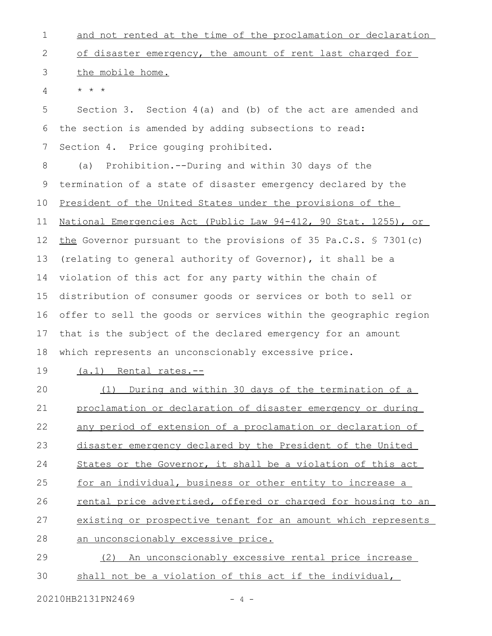| $\mathbf 1$ | and not rented at the time of the proclamation or declaration      |
|-------------|--------------------------------------------------------------------|
| 2           | of disaster emergency, the amount of rent last charged for         |
| 3           | the mobile home.                                                   |
| 4           | $\star$ $\star$ $\star$                                            |
| 5           | Section 3. Section $4(a)$ and (b) of the act are amended and       |
| 6           | the section is amended by adding subsections to read:              |
| 7           | Section 4. Price gouging prohibited.                               |
| 8           | Prohibition.--During and within 30 days of the<br>(a)              |
| 9           | termination of a state of disaster emergency declared by the       |
| 10          | President of the United States under the provisions of the         |
| 11          | National Emergencies Act (Public Law 94-412, 90 Stat. 1255), or    |
| 12          | the Governor pursuant to the provisions of 35 Pa.C.S. § 7301(c)    |
| 13          | (relating to general authority of Governor), it shall be a         |
| 14          | violation of this act for any party within the chain of            |
| 15          | distribution of consumer goods or services or both to sell or      |
| 16          | offer to sell the goods or services within the geographic region   |
| 17          | that is the subject of the declared emergency for an amount        |
| 18          | which represents an unconscionably excessive price.                |
| 19          | (a.1) Rental rates.--                                              |
| 20          | (1) During and within 30 days of the termination of a              |
| 21          | proclamation or declaration of disaster emergency or during        |
| 22          | <u>any period of extension of a proclamation or declaration of</u> |
| 23          | disaster emergency declared by the President of the United         |
| 24          | States or the Governor, it shall be a violation of this act        |
| 25          | for an individual, business or other entity to increase a          |
| 26          | rental price advertised, offered or charged for housing to an      |
| 27          | existing or prospective tenant for an amount which represents      |
| 28          | an unconscionably excessive price.                                 |
|             |                                                                    |

(2) An unconscionably excessive rental price increase shall not be a violation of this act if the individual, 29 30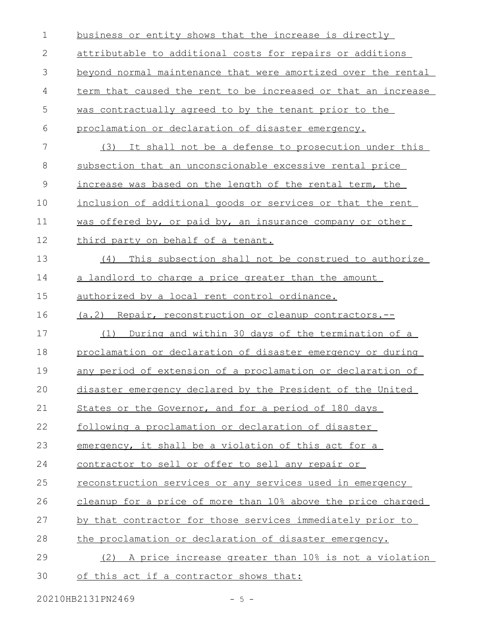| $\mathbf 1$  | business or entity shows that the increase is directly             |
|--------------|--------------------------------------------------------------------|
| $\mathbf{2}$ | attributable to additional costs for repairs or additions          |
| 3            | beyond normal maintenance that were amortized over the rental      |
| 4            | term that caused the rent to be increased or that an increase      |
| 5            | was contractually agreed to by the tenant prior to the             |
| 6            | proclamation or declaration of disaster emergency.                 |
| 7            | (3) It shall not be a defense to prosecution under this            |
| 8            | subsection that an unconscionable excessive rental price           |
| 9            | increase was based on the length of the rental term, the           |
| 10           | inclusion of additional goods or services or that the rent         |
| 11           | was offered by, or paid by, an insurance company or other          |
| 12           | third party on behalf of a tenant.                                 |
| 13           | This subsection shall not be construed to authorize<br>(4)         |
| 14           | a landlord to charge a price greater than the amount               |
| 15           | authorized by a local rent control ordinance.                      |
| 16           | (a.2) Repair, reconstruction or cleanup contractors.--             |
| 17           | During and within 30 days of the termination of a<br>(1)           |
| 18           | proclamation or declaration of disaster emergency or during        |
| 19           | <u>any period of extension of a proclamation or declaration of</u> |
| 20           | disaster emergency declared by the President of the United         |
| 21           | States or the Governor, and for a period of 180 days               |
| 22           | following a proclamation or declaration of disaster                |
| 23           | emergency, it shall be a violation of this act for a               |
| 24           | contractor to sell or offer to sell any repair or                  |
| 25           | reconstruction services or any services used in emergency          |
| 26           | cleanup for a price of more than 10% above the price charged       |
| 27           | by that contractor for those services immediately prior to         |
| 28           | the proclamation or declaration of disaster emergency.             |
| 29           | (2) A price increase greater than 10% is not a violation           |
| 30           | of this act if a contractor shows that:                            |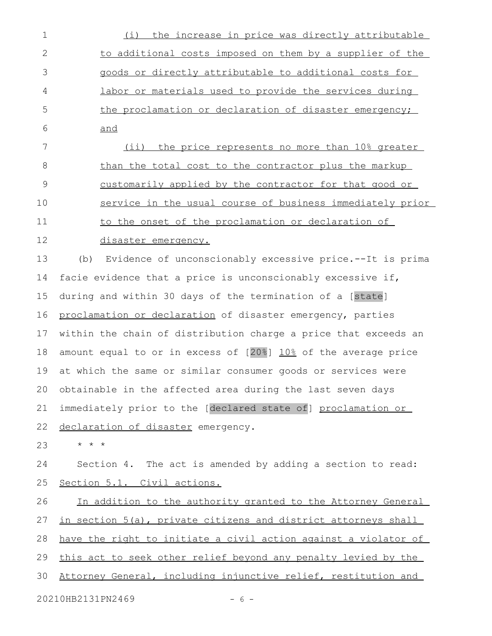| 1            | the increase in price was directly attributable<br>(i)          |
|--------------|-----------------------------------------------------------------|
| $\mathbf{2}$ | to additional costs imposed on them by a supplier of the        |
| 3            | goods or directly attributable to additional costs for          |
| 4            | labor or materials used to provide the services during          |
| 5            | the proclamation or declaration of disaster emergency;          |
| 6            | and                                                             |
| 7            | (ii) the price represents no more than 10% greater              |
| 8            | than the total cost to the contractor plus the markup           |
| $\mathsf 9$  | <u>customarily applied by the contractor for that good or</u>   |
| 10           | service in the usual course of business immediately prior       |
| 11           | to the onset of the proclamation or declaration of              |
| 12           | disaster emergency.                                             |
| 13           | Evidence of unconscionably excessive price.--It is prima<br>(b) |
| 14           | facie evidence that a price is unconscionably excessive if,     |
| 15           | during and within 30 days of the termination of a [state]       |
| 16           | proclamation or declaration of disaster emergency, parties      |
| 17           | within the chain of distribution charge a price that exceeds an |
| 18           | amount equal to or in excess of [20%] 10% of the average price  |
| 19           | at which the same or similar consumer goods or services were    |
|              | 20 obtainable in the affected area during the last seven days   |
| 21           | immediately prior to the [declared state of] proclamation or    |
| 22           | declaration of disaster emergency.                              |
| 23           | $\star$ $\star$ $\star$                                         |
| 24           | Section 4. The act is amended by adding a section to read:      |
| 25           | Section 5.1. Civil actions.                                     |
| 26           | In addition to the authority granted to the Attorney General    |
| 27           | in section 5(a), private citizens and district attorneys shall  |
| 28           | have the right to initiate a civil action against a violator of |
| 29           | this act to seek other relief beyond any penalty levied by the  |
| 30           | Attorney General, including injunctive relief, restitution and  |
|              | 20210HB2131PN2469<br>$-6-$                                      |